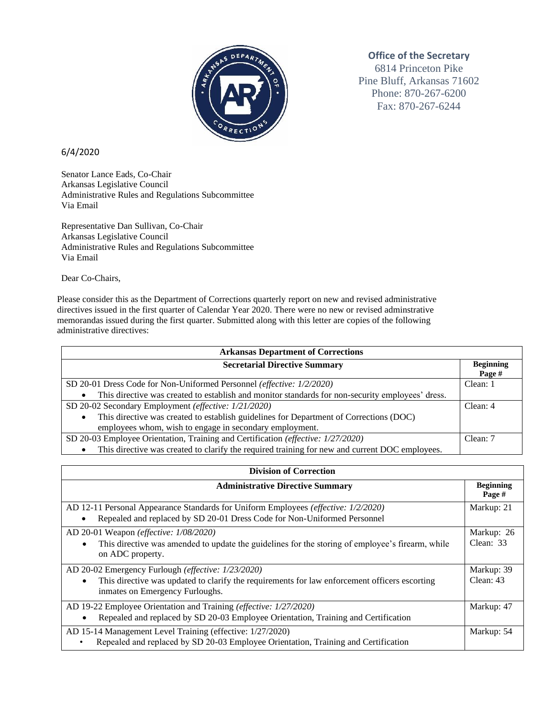

## **Office of the Secretary**

6814 Princeton Pike Pine Bluff, Arkansas 71602 Phone: 870-267-6200 Fax: 870-267-6244

## 6/4/2020

Senator Lance Eads, Co-Chair Arkansas Legislative Council Administrative Rules and Regulations Subcommittee Via Email

Representative Dan Sullivan, Co-Chair Arkansas Legislative Council Administrative Rules and Regulations Subcommittee Via Email

Dear Co-Chairs,

Please consider this as the Department of Corrections quarterly report on new and revised administrative directives issued in the first quarter of Calendar Year 2020. There were no new or revised adminstrative memorandas issued during the first quarter. Submitted along with this letter are copies of the following administrative directives:

| <b>Arkansas Department of Corrections</b>                                                        |                            |  |
|--------------------------------------------------------------------------------------------------|----------------------------|--|
| <b>Secretarial Directive Summary</b>                                                             | <b>Beginning</b><br>Page # |  |
| SD 20-01 Dress Code for Non-Uniformed Personnel (effective: 1/2/2020)                            | Clean: 1                   |  |
| This directive was created to establish and monitor standards for non-security employees' dress. |                            |  |
| SD 20-02 Secondary Employment (effective: 1/21/2020)                                             | Clear: 4                   |  |
| This directive was created to establish guidelines for Department of Corrections (DOC)           |                            |  |
| employees whom, wish to engage in secondary employment.                                          |                            |  |
| SD 20-03 Employee Orientation, Training and Certification (effective: 1/27/2020)                 | Clean: 7                   |  |
| This directive was created to clarify the required training for new and current DOC employees.   |                            |  |

| <b>Division of Correction</b>                                                                                                                                                                       |                            |  |
|-----------------------------------------------------------------------------------------------------------------------------------------------------------------------------------------------------|----------------------------|--|
| <b>Administrative Directive Summary</b>                                                                                                                                                             | <b>Beginning</b><br>Page # |  |
| AD 12-11 Personal Appearance Standards for Uniform Employees (effective: 1/2/2020)<br>Repealed and replaced by SD 20-01 Dress Code for Non-Uniformed Personnel                                      | Markup: 21                 |  |
| AD 20-01 Weapon (effective: 1/08/2020)<br>This directive was amended to update the guidelines for the storing of employee's firearm, while<br>$\bullet$<br>on ADC property.                         | Markup: 26<br>Clean: 33    |  |
| AD 20-02 Emergency Furlough (effective: 1/23/2020)<br>This directive was updated to clarify the requirements for law enforcement officers escorting<br>$\bullet$<br>inmates on Emergency Furloughs. | Markup: 39<br>Clean: $43$  |  |
| AD 19-22 Employee Orientation and Training (effective: 1/27/2020)<br>Repealed and replaced by SD 20-03 Employee Orientation, Training and Certification                                             | Markup: 47                 |  |
| AD 15-14 Management Level Training (effective: 1/27/2020)<br>Repealed and replaced by SD 20-03 Employee Orientation, Training and Certification                                                     | Markup: 54                 |  |